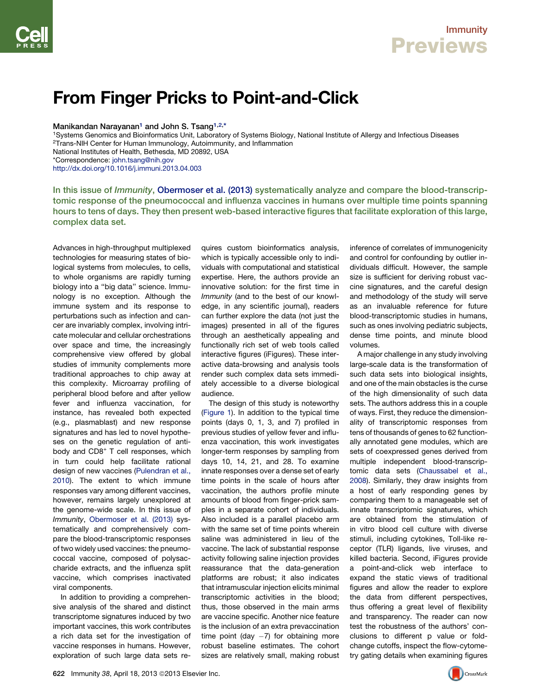# From Finger Pricks to Point-and-Click

Manikandan Narayanan<sup>1</sup> and John S. Tsang<sup>1,2,\*</sup>

<sup>1</sup>Systems Genomics and Bioinformatics Unit, Laboratory of Systems Biology, National Institute of Allergy and Infectious Diseases <sup>2</sup>Trans-NIH Center for Human Immunology, Autoimmunity, and Inflammation National Institutes of Health, Bethesda, MD 20892, USA \*Correspondence: john.tsang@nih.gov http://dx.doi.org/10.1016/j.immuni.2013.04.003

In this issue of *Immunity*, Obermoser et al. (2013) systematically analyze and compare the blood-transcriptomic response of the pneumococcal and influenza vaccines in humans over multiple time points spanning hours to tens of days. They then present web-based interactive figures that facilitate exploration of this large, complex data set.

Advances in high-throughput multiplexed technologies for measuring states of biological systems from molecules, to cells, to whole organisms are rapidly turning biology into a ''big data'' science. Immunology is no exception. Although the immune system and its response to perturbations such as infection and cancer are invariably complex, involving intricate molecular and cellular orchestrations over space and time, the increasingly comprehensive view offered by global studies of immunity complements more traditional approaches to chip away at this complexity. Microarray profiling of peripheral blood before and after yellow fever and influenza vaccination, for instance, has revealed both expected (e.g., plasmablast) and new response signatures and has led to novel hypotheses on the genetic regulation of antibody and CD8<sup>+</sup> T cell responses, which in turn could help facilitate rational design of new vaccines (Pulendran et al., 2010). The extent to which immune responses vary among different vaccines, however, remains largely unexplored at the genome-wide scale. In this issue of *Immunity*, Obermoser et al. (2013) systematically and comprehensively compare the blood-transcriptomic responses of two widely used vaccines: the pneumococcal vaccine, composed of polysaccharide extracts, and the influenza split vaccine, which comprises inactivated viral components.

In addition to providing a comprehensive analysis of the shared and distinct transcriptome signatures induced by two important vaccines, this work contributes a rich data set for the investigation of vaccine responses in humans. However, exploration of such large data sets re-

quires custom bioinformatics analysis, which is typically accessible only to individuals with computational and statistical expertise. Here, the authors provide an innovative solution: for the first time in *Immunity* (and to the best of our knowledge, in any scientific journal), readers can further explore the data (not just the images) presented in all of the figures through an aesthetically appealing and functionally rich set of web tools called interactive figures (iFigures). These interactive data-browsing and analysis tools render such complex data sets immediately accessible to a diverse biological audience.

The design of this study is noteworthy (Figure 1). In addition to the typical time points (days 0, 1, 3, and 7) profiled in previous studies of yellow fever and influenza vaccination, this work investigates longer-term responses by sampling from days 10, 14, 21, and 28. To examine innate responses over a dense set of early time points in the scale of hours after vaccination, the authors profile minute amounts of blood from finger-prick samples in a separate cohort of individuals. Also included is a parallel placebo arm with the same set of time points wherein saline was administered in lieu of the vaccine. The lack of substantial response activity following saline injection provides reassurance that the data-generation platforms are robust; it also indicates that intramuscular injection elicits minimal transcriptomic activities in the blood; thus, those observed in the main arms are vaccine specific. Another nice feature is the inclusion of an extra prevaccination time point (day  $-7$ ) for obtaining more robust baseline estimates. The cohort sizes are relatively small, making robust inference of correlates of immunogenicity and control for confounding by outlier individuals difficult. However, the sample size is sufficient for deriving robust vaccine signatures, and the careful design and methodology of the study will serve as an invaluable reference for future blood-transcriptomic studies in humans, such as ones involving pediatric subjects, dense time points, and minute blood volumes.

A major challenge in any study involving large-scale data is the transformation of such data sets into biological insights, and one of the main obstacles is the curse of the high dimensionality of such data sets. The authors address this in a couple of ways. First, they reduce the dimensionality of transcriptomic responses from tens of thousands of genes to 62 functionally annotated gene modules, which are sets of coexpressed genes derived from multiple independent blood-transcriptomic data sets (Chaussabel et al., 2008). Similarly, they draw insights from a host of early responding genes by comparing them to a manageable set of innate transcriptomic signatures, which are obtained from the stimulation of in vitro blood cell culture with diverse stimuli, including cytokines, Toll-like receptor (TLR) ligands, live viruses, and killed bacteria. Second, iFigures provide a point-and-click web interface to expand the static views of traditional figures and allow the reader to explore the data from different perspectives, thus offering a great level of flexibility and transparency. The reader can now test the robustness of the authors' conclusions to different p value or foldchange cutoffs, inspect the flow-cytometry gating details when examining figures

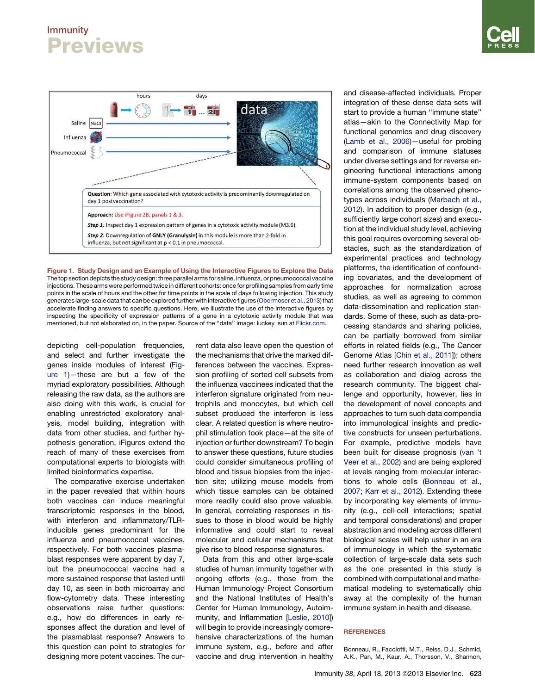## Immunity **Previews**



Figure 1. Study Design and an Example of Using the Interactive Figures to Explore the Data The top section depicts the study design: three parallel arms for saline, influenza, or pneumococcal vaccine injections. These arms were performed twice in different cohorts: once for profiling samples from early time points in the scale of hours and the other for time points in the scale of days following injection. This study generates large-scale data that can be explored further with interactive figures (Obermoser et al., 2013) that accelerate finding answers to specific questions. Here, we illustrate the use of the interactive figures by inspecting the specificity of expression patterns of a gene in a cytotoxic activity module that was mentioned, but not elaborated on, in the paper. Source of the ''data'' image: luckey\_sun at Flickr.com.

depicting cell-population frequencies, and select and further investigate the genes inside modules of interest (Figure 1)—these are but a few of the myriad exploratory possibilities. Although releasing the raw data, as the authors are also doing with this work, is crucial for enabling unrestricted exploratory analysis, model building, integration with data from other studies, and further hypothesis generation, iFigures extend the reach of many of these exercises from computational experts to biologists with limited bioinformatics expertise.

The comparative exercise undertaken in the paper revealed that within hours both vaccines can induce meaningful transcriptomic responses in the blood, with interferon and inflammatory/TLRinducible genes predominant for the influenza and pneumococcal vaccines, respectively. For both vaccines plasmablast responses were apparent by day 7, but the pneumococcal vaccine had a more sustained response that lasted until day 10, as seen in both microarray and flow-cytometry data. These interesting observations raise further questions: e.g., how do differences in early responses affect the duration and level of the plasmablast response? Answers to this question can point to strategies for designing more potent vaccines. The current data also leave open the question of the mechanisms that drive the marked differences between the vaccines. Expression profiling of sorted cell subsets from the influenza vaccinees indicated that the interferon signature originated from neutrophils and monocytes, but which cell subset produced the interferon is less clear. A related question is where neutrophil stimulation took place—at the site of injection or further downstream? To begin to answer these questions, future studies could consider simultaneous profiling of blood and tissue biopsies from the injection site; utilizing mouse models from which tissue samples can be obtained more readily could also prove valuable. In general, correlating responses in tissues to those in blood would be highly informative and could start to reveal molecular and cellular mechanisms that give rise to blood response signatures.

Data from this and other large-scale studies of human immunity together with ongoing efforts (e.g., those from the Human Immunology Project Consortium and the National Institutes of Health's Center for Human Immunology, Autoimmunity, and Inflammation [Leslie, 2010]) will begin to provide increasingly comprehensive characterizations of the human immune system, e.g., before and after vaccine and drug intervention in healthy and disease-affected individuals. Proper integration of these dense data sets will start to provide a human ''immune state'' atlas—akin to the Connectivity Map for functional genomics and drug discovery (Lamb et al., 2006)—useful for probing and comparison of immune statuses under diverse settings and for reverse engineering functional interactions among immune-system components based on correlations among the observed phenotypes across individuals (Marbach et al., 2012). In addition to proper design (e.g., sufficiently large cohort sizes) and execution at the individual study level, achieving this goal requires overcoming several obstacles, such as the standardization of experimental practices and technology platforms, the identification of confounding covariates, and the development of approaches for normalization across studies, as well as agreeing to common data-dissemination and replication standards. Some of these, such as data-processing standards and sharing policies, can be partially borrowed from similar efforts in related fields (e.g., The Cancer Genome Atlas [Chin et al., 2011]); others need further research innovation as well as collaboration and dialog across the research community. The biggest challenge and opportunity, however, lies in the development of novel concepts and approaches to turn such data compendia into immunological insights and predictive constructs for unseen perturbations. For example, predictive models have been built for disease prognosis (van 't Veer et al., 2002) and are being explored at levels ranging from molecular interactions to whole cells (Bonneau et al., 2007; Karr et al., 2012). Extending these by incorporating key elements of immunity (e.g., cell-cell interactions; spatial and temporal considerations) and proper abstraction and modeling across different biological scales will help usher in an era of immunology in which the systematic collection of large-scale data sets such as the one presented in this study is combined with computational and mathematical modeling to systematically chip away at the complexity of the human immune system in health and disease.

#### **REFERENCES**

Bonneau, R., Facciotti, M.T., Reiss, D.J., Schmid, A.K., Pan, M., Kaur, A., Thorsson, V., Shannon,